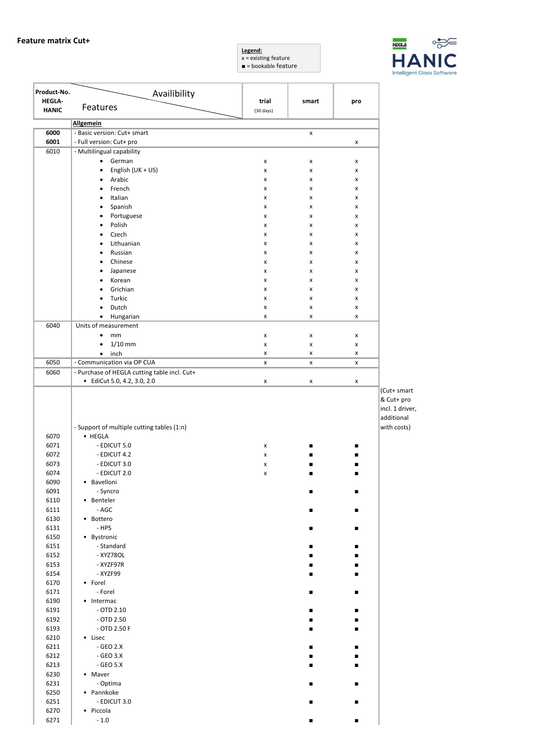



| Product-No.<br><b>HEGLA-</b> | Availibility                                          |                              |        |                |                                                            |
|------------------------------|-------------------------------------------------------|------------------------------|--------|----------------|------------------------------------------------------------|
| <b>HANIC</b>                 | Features                                              | trial<br>$(30 \text{ days})$ | smart  | pro            |                                                            |
|                              | <b>Allgemein</b>                                      |                              |        |                |                                                            |
| 6000                         | - Basic version: Cut+ smart                           |                              | x      |                |                                                            |
| 6001                         | - Full version: Cut+ pro                              |                              |        | x              |                                                            |
| 6010                         | - Multilingual capability                             |                              |        |                |                                                            |
|                              | German<br>$\bullet$<br>English (UK + US)<br>$\bullet$ | x<br>x                       | x<br>x | x<br>x         |                                                            |
|                              | Arabic<br>$\bullet$                                   | x                            | x      | x              |                                                            |
|                              | French<br>٠                                           | x                            | x      | X              |                                                            |
|                              | Italian<br>$\bullet$                                  | x                            | x      | X              |                                                            |
|                              | Spanish<br>$\bullet$                                  | x                            | x      | x              |                                                            |
|                              | Portuguese<br>$\bullet$                               | x                            | x      | x              |                                                            |
|                              | Polish<br>$\bullet$                                   | x                            | x      | x              |                                                            |
|                              | Czech<br>$\bullet$                                    | x                            | x      | x              |                                                            |
|                              | Lithuanian<br>$\bullet$<br>Russian<br>$\bullet$       | x<br>x                       | x<br>x | x<br>x         |                                                            |
|                              | Chinese<br>$\bullet$                                  | x                            | x      | x              |                                                            |
|                              | Japanese<br>$\bullet$                                 | x                            | x      | x              |                                                            |
|                              | Korean<br>٠                                           | x                            | x      | x              |                                                            |
|                              | Grichian<br>٠                                         | x                            | x      | X              |                                                            |
|                              | Turkic<br>$\bullet$                                   | x                            | x      | x              |                                                            |
|                              | Dutch<br>٠                                            | x                            | x      | x              |                                                            |
|                              | Hungarian<br>$\bullet$                                | x                            | x      | x              |                                                            |
| 6040                         | Units of measurement                                  |                              |        |                |                                                            |
|                              | mm<br>٠<br>$1/10$ mm<br>$\bullet$                     | x<br>x                       | x<br>x | x<br>x         |                                                            |
|                              | inch<br>$\bullet$                                     | x                            | x      | x              |                                                            |
| 6050                         | - Communication via OP CUA                            | x                            | x      | x              |                                                            |
| 6060                         | - Purchase of HEGLA cutting table incl. Cut+          |                              |        |                |                                                            |
|                              | • EdiCut 5.0, 4.2, 3.0, 2.0                           | x                            | x      | x              |                                                            |
|                              |                                                       |                              |        |                | (Cut+ smart<br>& Cut+ pro<br>incl. 1 driver,<br>additional |
| 6070                         | - Support of multiple cutting tables (1:n)<br>• HEGLA |                              |        |                | with costs)                                                |
| 6071                         | - EDICUT 5.0                                          | x                            |        | ■              |                                                            |
| 6072                         | - EDICUT 4.2                                          | x                            |        |                |                                                            |
| 6073                         | - EDICUT 3.0                                          | x                            |        |                |                                                            |
| 6074                         | - EDICUT 2.0                                          | x                            |        |                |                                                            |
| 6090                         | • Bavelloni                                           |                              |        |                |                                                            |
| 6091                         | - Syncro                                              |                              | п      | п              |                                                            |
| 6110                         | • Benteler                                            |                              |        |                |                                                            |
| 6111                         | $- AGC$                                               |                              | п      | $\blacksquare$ |                                                            |
| 6130<br>6131                 | • Bottero<br>$-HPS$                                   |                              | ٠      | ٠              |                                                            |
| 6150                         | • Bystronic                                           |                              |        |                |                                                            |
| 6151                         | - Standard                                            |                              | ٠      | ▪              |                                                            |
| 6152                         | - XYZ780L                                             |                              |        | ■              |                                                            |
| 6153                         | - XYZF97R                                             |                              |        | ■              |                                                            |
| 6154                         | - XYZF99                                              |                              | ٠      | ٠              |                                                            |
| 6170                         | • Forel                                               |                              |        |                |                                                            |
| 6171<br>6190                 | - Forel<br>• Intermac                                 |                              | ٠      | ▪              |                                                            |
| 6191                         | $-$ OTD 2.10                                          |                              | ■      |                |                                                            |
| 6192                         | $-$ OTD 2.50                                          |                              |        |                |                                                            |
| 6193                         | $-$ OTD 2.50 F                                        |                              |        | ٠              |                                                            |
| 6210                         | • Lisec                                               |                              |        |                |                                                            |
| 6211                         | - GEO 2.X                                             |                              |        | ٠              |                                                            |
| 6212                         | - GEO 3.X                                             |                              |        | ■              |                                                            |
| 6213                         | - $GEO 5.X$                                           |                              | ٠      | ٠              |                                                            |
| 6230                         | • Maver                                               |                              |        |                |                                                            |
| 6231<br>6250                 | - Optima<br>• Pannkoke                                |                              | ٠      | ▪              |                                                            |
| 6251                         | - EDICUT 3.0                                          |                              | ▪      |                |                                                            |
| 6270                         | • Piccola                                             |                              |        |                |                                                            |
| 6271                         | $-1.0$                                                |                              | ٠      | ٠              |                                                            |